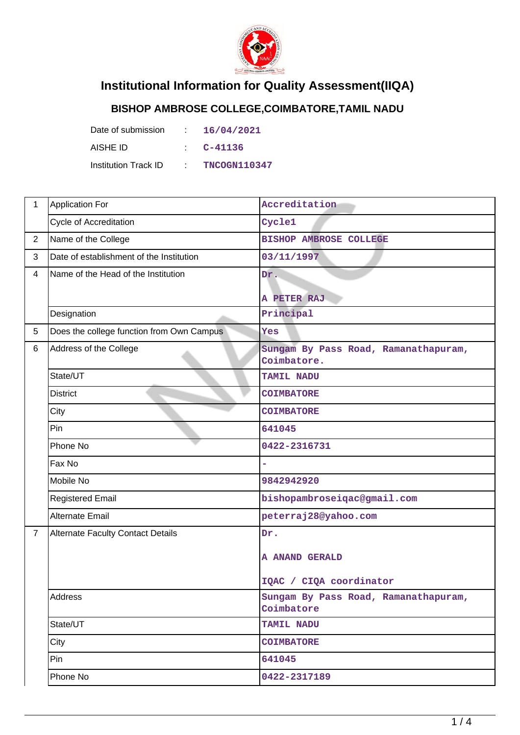

## **Institutional Information for Quality Assessment(IIQA)**

## **BISHOP AMBROSE COLLEGE,COIMBATORE,TAMIL NADU**

| Date of submission          | D.                  | 16/04/2021          |
|-----------------------------|---------------------|---------------------|
| AISHE ID                    | <b>Participants</b> | C-41136             |
| <b>Institution Track ID</b> | <b>All Card</b>     | <b>TNCOGN110347</b> |

| $\mathbf{1}$   | Application For                           | Accreditation                                       |  |  |
|----------------|-------------------------------------------|-----------------------------------------------------|--|--|
|                | <b>Cycle of Accreditation</b>             | Cycle1                                              |  |  |
| $\overline{2}$ | Name of the College                       | <b>BISHOP AMBROSE COLLEGE</b>                       |  |  |
| 3              | Date of establishment of the Institution  | 03/11/1997                                          |  |  |
| $\overline{4}$ | Name of the Head of the Institution       | Dr.                                                 |  |  |
|                |                                           | A PETER RAJ                                         |  |  |
|                | Designation                               | Principal                                           |  |  |
| 5              | Does the college function from Own Campus | Yes                                                 |  |  |
| 6              | Address of the College                    | Sungam By Pass Road, Ramanathapuram,<br>Coimbatore. |  |  |
|                | State/UT                                  | <b>TAMIL NADU</b>                                   |  |  |
|                | <b>District</b>                           | <b>COIMBATORE</b>                                   |  |  |
|                | City                                      | <b>COIMBATORE</b>                                   |  |  |
|                | Pin                                       | 641045                                              |  |  |
|                | Phone No                                  | 0422-2316731                                        |  |  |
|                | Fax No                                    |                                                     |  |  |
|                | Mobile No                                 | 9842942920                                          |  |  |
|                | <b>Registered Email</b>                   | bishopambroseiqac@gmail.com                         |  |  |
|                | <b>Alternate Email</b>                    | peterraj28@yahoo.com                                |  |  |
| $\overline{7}$ | <b>Alternate Faculty Contact Details</b>  | Dr.                                                 |  |  |
|                |                                           | A ANAND GERALD                                      |  |  |
|                |                                           | IQAC / CIQA coordinator                             |  |  |
|                | Address                                   | Sungam By Pass Road, Ramanathapuram,<br>Coimbatore  |  |  |
|                | State/UT                                  | TAMIL NADU                                          |  |  |
|                | City                                      | <b>COIMBATORE</b>                                   |  |  |
|                | Pin                                       | 641045                                              |  |  |
|                | Phone No                                  | 0422-2317189                                        |  |  |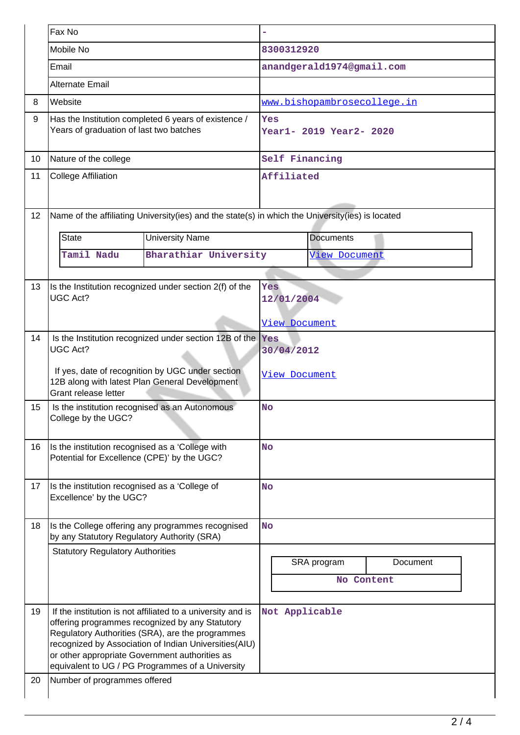|          | Fax No                                                                                                                                                                                                       |                                                                                                                                                                                                                                                                                                                                   |                                    |               |                             |          |  |
|----------|--------------------------------------------------------------------------------------------------------------------------------------------------------------------------------------------------------------|-----------------------------------------------------------------------------------------------------------------------------------------------------------------------------------------------------------------------------------------------------------------------------------------------------------------------------------|------------------------------------|---------------|-----------------------------|----------|--|
|          | Mobile No                                                                                                                                                                                                    |                                                                                                                                                                                                                                                                                                                                   | 8300312920                         |               |                             |          |  |
|          | Email                                                                                                                                                                                                        |                                                                                                                                                                                                                                                                                                                                   |                                    |               | anandgerald1974@gmail.com   |          |  |
|          | Alternate Email                                                                                                                                                                                              |                                                                                                                                                                                                                                                                                                                                   |                                    |               |                             |          |  |
| 8        | Website                                                                                                                                                                                                      |                                                                                                                                                                                                                                                                                                                                   |                                    |               | www.bishopambrosecollege.in |          |  |
| 9        | Years of graduation of last two batches                                                                                                                                                                      | Has the Institution completed 6 years of existence /                                                                                                                                                                                                                                                                              | Yes<br>Year1- 2019 Year2- 2020     |               |                             |          |  |
| 10       | Nature of the college                                                                                                                                                                                        |                                                                                                                                                                                                                                                                                                                                   | Self Financing                     |               |                             |          |  |
| 11       | <b>College Affiliation</b>                                                                                                                                                                                   |                                                                                                                                                                                                                                                                                                                                   | Affiliated                         |               |                             |          |  |
| 12       |                                                                                                                                                                                                              | Name of the affiliating University(ies) and the state(s) in which the University(ies) is located                                                                                                                                                                                                                                  |                                    |               |                             |          |  |
|          | State                                                                                                                                                                                                        | <b>University Name</b>                                                                                                                                                                                                                                                                                                            |                                    |               | <b>Documents</b>            |          |  |
|          | Tamil Nadu                                                                                                                                                                                                   | Bharathiar University                                                                                                                                                                                                                                                                                                             |                                    |               | <b>View Document</b>        |          |  |
|          |                                                                                                                                                                                                              |                                                                                                                                                                                                                                                                                                                                   |                                    |               |                             |          |  |
| 13       | <b>UGC Act?</b>                                                                                                                                                                                              | Is the Institution recognized under section 2(f) of the                                                                                                                                                                                                                                                                           | Yes                                | 12/01/2004    |                             |          |  |
|          |                                                                                                                                                                                                              |                                                                                                                                                                                                                                                                                                                                   |                                    | View Document |                             |          |  |
| 14       | Is the Institution recognized under section 12B of the  Yes<br><b>UGC Act?</b><br>If yes, date of recognition by UGC under section<br>12B along with latest Plan General Development<br>Grant release letter |                                                                                                                                                                                                                                                                                                                                   | 30/04/2012<br><u>View Document</u> |               |                             |          |  |
| 15       | Is the institution recognised as an Autonomous<br>College by the UGC?                                                                                                                                        |                                                                                                                                                                                                                                                                                                                                   |                                    | <b>No</b>     |                             |          |  |
| 16       | Is the institution recognised as a 'College with<br>Potential for Excellence (CPE)' by the UGC?                                                                                                              |                                                                                                                                                                                                                                                                                                                                   | <b>No</b>                          |               |                             |          |  |
| 17       | Is the institution recognised as a 'College of<br>Excellence' by the UGC?                                                                                                                                    |                                                                                                                                                                                                                                                                                                                                   | <b>No</b>                          |               |                             |          |  |
| 18       | by any Statutory Regulatory Authority (SRA)                                                                                                                                                                  | Is the College offering any programmes recognised                                                                                                                                                                                                                                                                                 | <b>No</b>                          |               |                             |          |  |
|          | <b>Statutory Regulatory Authorities</b>                                                                                                                                                                      |                                                                                                                                                                                                                                                                                                                                   |                                    |               |                             |          |  |
|          |                                                                                                                                                                                                              |                                                                                                                                                                                                                                                                                                                                   |                                    |               | SRA program                 | Document |  |
|          |                                                                                                                                                                                                              |                                                                                                                                                                                                                                                                                                                                   |                                    |               | No Content                  |          |  |
| 19<br>20 | Number of programmes offered                                                                                                                                                                                 | If the institution is not affiliated to a university and is<br>offering programmes recognized by any Statutory<br>Regulatory Authorities (SRA), are the programmes<br>recognized by Association of Indian Universities(AIU)<br>or other appropriate Government authorities as<br>equivalent to UG / PG Programmes of a University |                                    |               | Not Applicable              |          |  |
|          |                                                                                                                                                                                                              |                                                                                                                                                                                                                                                                                                                                   |                                    |               |                             |          |  |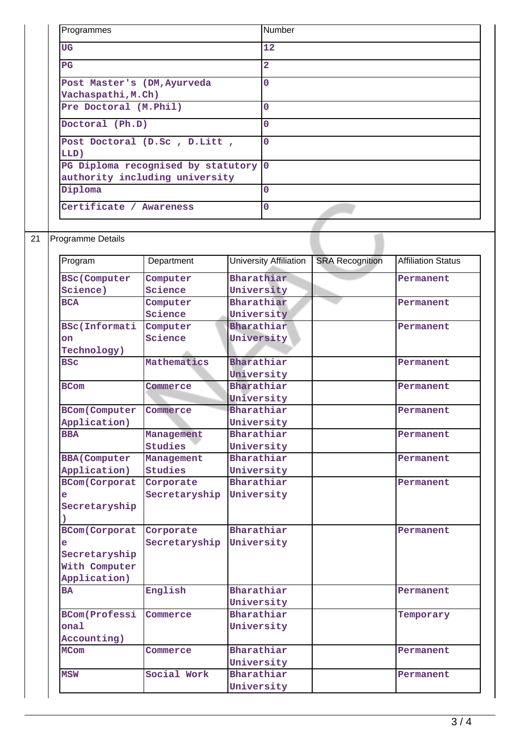| Programmes                                                             | Number      |
|------------------------------------------------------------------------|-------------|
| <b>UG</b>                                                              | 12          |
| $_{\rm PG}$                                                            | 2           |
| Post Master's (DM, Ayurveda<br>Vachaspathi, M.Ch)                      | $\Omega$    |
| Pre Doctoral (M.Phil)                                                  | $\mathbf 0$ |
| Doctoral (Ph.D)                                                        | $\Omega$    |
| Post Doctoral (D.Sc, D.Litt,<br>LLD)                                   | $\Omega$    |
| PG Diploma recognised by statutory 0<br>authority including university |             |
| Diploma                                                                | $\mathbf 0$ |
| Certificate / Awareness                                                | $\Omega$    |

## 21 Programme Details

| Program               | Department     | <b>University Affiliation</b> | <b>SRA Recognition</b> | <b>Affiliation Status</b> |
|-----------------------|----------------|-------------------------------|------------------------|---------------------------|
| <b>BSc(Computer</b>   | Computer       | Bharathiar                    |                        | Permanent                 |
| Science)              | Science        | University                    |                        |                           |
| <b>BCA</b>            | Computer       | Bharathiar                    |                        | Permanent                 |
|                       | Science        | University                    |                        |                           |
| <b>BSc(Informati</b>  | Computer       | Bharathiar                    |                        | Permanent                 |
| on                    | Science        | University                    |                        |                           |
| Technology)           |                |                               |                        |                           |
| <b>BSC</b>            | Mathematics    | Bharathiar                    |                        | Permanent                 |
|                       |                | University                    |                        |                           |
| <b>BCom</b>           | Commerce       | Bharathiar                    |                        | Permanent                 |
|                       |                | University                    |                        |                           |
| <b>BCom(Computer)</b> | Commerce       | Bharathiar                    |                        | Permanent                 |
| Application)          |                | University                    |                        |                           |
| <b>BBA</b>            | Management     | Bharathiar                    |                        | Permanent                 |
|                       | <b>Studies</b> | University                    |                        |                           |
| <b>BBA</b> (Computer  | Management     | Bharathiar                    |                        | Permanent                 |
| Application)          | <b>Studies</b> | University                    |                        |                           |
| <b>BCom(Corporat</b>  | Corporate      | Bharathiar                    |                        | Permanent                 |
| e                     | Secretaryship  | University                    |                        |                           |
| Secretaryship         |                |                               |                        |                           |
|                       |                |                               |                        |                           |
| <b>BCom(Corporat</b>  | Corporate      | Bharathiar                    |                        | Permanent                 |
| e                     | Secretaryship  | University                    |                        |                           |
| Secretaryship         |                |                               |                        |                           |
| With Computer         |                |                               |                        |                           |
| Application)          |                |                               |                        |                           |
| <b>BA</b>             | English        | Bharathiar                    |                        | Permanent                 |
|                       |                | University                    |                        |                           |
| <b>BCom(Professi</b>  | Commerce       | Bharathiar                    |                        | Temporary                 |
| ona1                  |                | University                    |                        |                           |
| Accounting)           |                |                               |                        |                           |
| <b>MCom</b>           | Commerce       | Bharathiar                    |                        | Permanent                 |
|                       |                | University                    |                        |                           |
| <b>MSW</b>            | Social Work    | Bharathiar                    |                        | Permanent                 |
|                       |                | University                    |                        |                           |